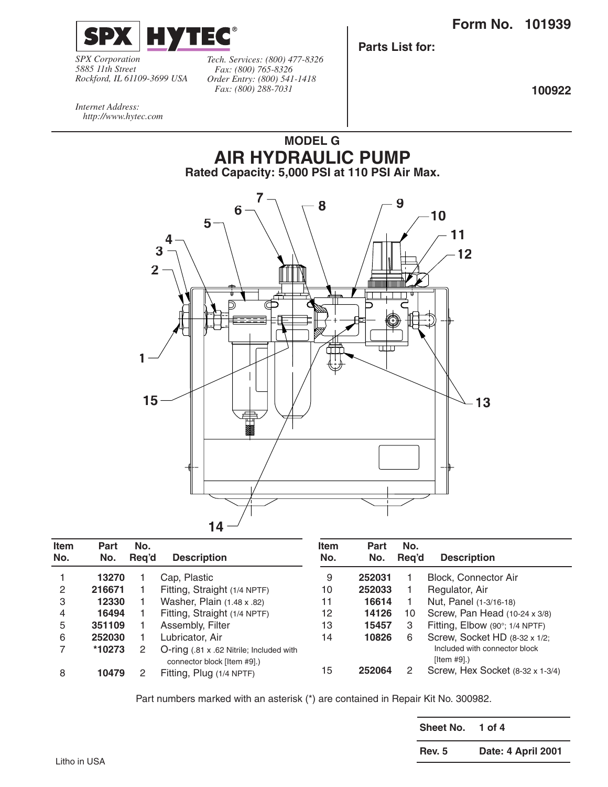

*SPX Corporation 5885 11th Street Rockford, IL 61109-3699 USA* *Tech. Services: (800) 477-8326 Fax: (800) 765-8326 Order Entry: (800) 541-1418 Fax: (800) 288-7031*

**Parts List for:**

**100922**

*Internet Address: http://www.hytec.com*



| Item<br>No. | <b>Part</b><br>No. | No.<br>Reg'd | <b>Description</b>                                                      | <b>Item</b><br>No. | <b>Part</b><br>No. | No.<br>Rea'd | <b>Description</b>                           |
|-------------|--------------------|--------------|-------------------------------------------------------------------------|--------------------|--------------------|--------------|----------------------------------------------|
|             | 13270              |              | Cap, Plastic                                                            | 9                  | 252031             |              | Block, Connector Air                         |
| 2           | 216671             |              | Fitting, Straight (1/4 NPTF)                                            | 10                 | 252033             |              | Regulator, Air                               |
| 3           | 12330              |              | Washer, Plain (1.48 x .82)                                              | 11                 | 16614              |              | Nut, Panel (1-3/16-18)                       |
| 4           | 16494              |              | Fitting, Straight (1/4 NPTF)                                            | 12                 | 14126              | 10           | Screw, Pan Head (10-24 x 3/8)                |
| 5           | 351109             |              | Assembly, Filter                                                        | 13                 | 15457              | 3            | Fitting, Elbow (90°; 1/4 NPTF)               |
| 6           | 252030             |              | Lubricator, Air                                                         | 14                 | 10826              | 6            | Screw, Socket HD (8-32 x 1/2;                |
|             | *10273             |              | O-ring (.81 x .62 Nitrile; Included with<br>connector block [Item #9].) |                    |                    |              | Included with connector block<br>[Item #9].) |
| 8           | 10479              |              | Fitting, Plug (1/4 NPTF)                                                | 15                 | 252064             |              | Screw, Hex Socket (8-32 x 1-3/4)             |

Part numbers marked with an asterisk (\*) are contained in Repair Kit No. 300982.

| Sheet No.     | 1 of 4             |
|---------------|--------------------|
| <b>Rev. 5</b> | Date: 4 April 2001 |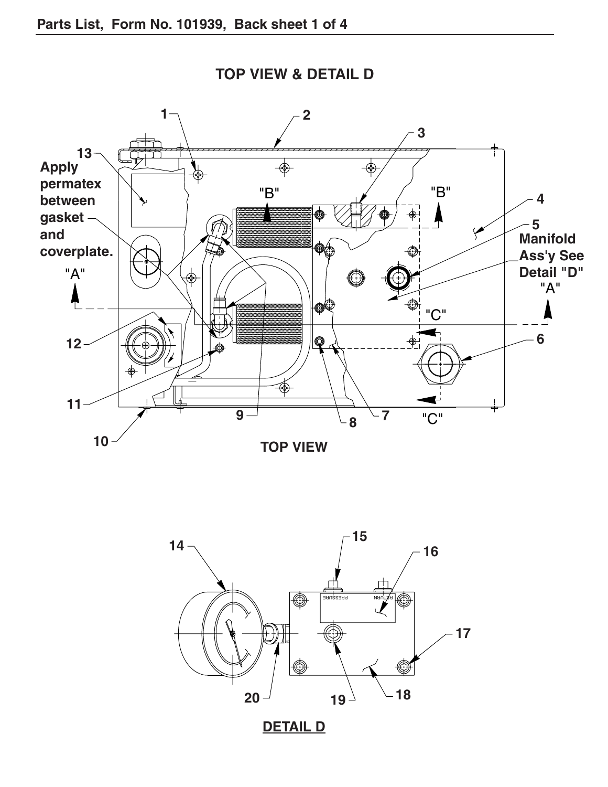

**TOP VIEW & DETAIL D**

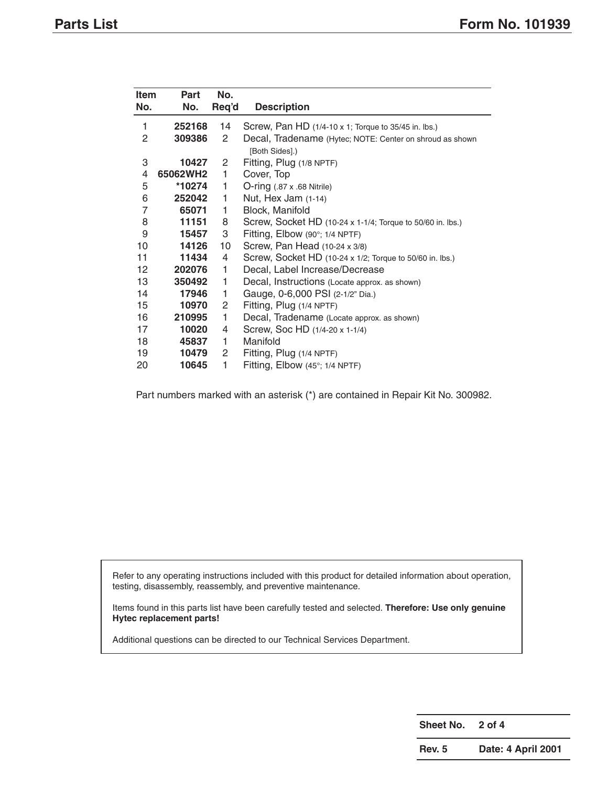| Item<br>No.       | Part<br>No. | No.<br>Req'd          | <b>Description</b>                                                         |
|-------------------|-------------|-----------------------|----------------------------------------------------------------------------|
| 1                 | 252168      | 14                    | Screw, Pan HD (1/4-10 x 1; Torque to 35/45 in. lbs.)                       |
| 2                 | 309386      | $\mathbf{2}^{\prime}$ | Decal, Tradename (Hytec; NOTE: Center on shroud as shown<br>[Both Sides].) |
| 3                 | 10427       | $\mathbf{2}^{\prime}$ | Fitting, Plug (1/8 NPTF)                                                   |
| 4                 | 65062WH2    | 1                     | Cover, Top                                                                 |
| 5                 | *10274      | 1                     | $O$ -ring $(.87 \times .68 \text{ Nitrile})$                               |
| 6                 | 252042      | 1                     | Nut, Hex Jam (1-14)                                                        |
| $\overline{7}$    | 65071       | 1                     | Block, Manifold                                                            |
| 8                 | 11151       | 8                     | Screw, Socket HD (10-24 x 1-1/4; Torque to 50/60 in. lbs.)                 |
| 9                 | 15457       | 3                     | Fitting, Elbow $(90^\circ; 1/4 \text{ NPTF})$                              |
| 10                | 14126       | 10                    | Screw, Pan Head (10-24 x 3/8)                                              |
| 11                | 11434       | 4                     | Screw, Socket HD (10-24 x 1/2; Torque to 50/60 in. lbs.)                   |
| $12 \overline{ }$ | 202076      | 1                     | Decal, Label Increase/Decrease                                             |
| 13                | 350492      | 1                     | Decal, Instructions (Locate approx. as shown)                              |
| 14                | 17946       | 1                     | Gauge, 0-6,000 PSI (2-1/2" Dia.)                                           |
| 15                | 10970       | 2                     | Fitting, Plug (1/4 NPTF)                                                   |
| 16                | 210995      | 1                     | Decal, Tradename (Locate approx. as shown)                                 |
| 17                | 10020       | 4                     | Screw, Soc HD (1/4-20 x 1-1/4)                                             |
| 18                | 45837       | 1                     | Manifold                                                                   |
| 19                | 10479       | 2                     | Fitting, Plug (1/4 NPTF)                                                   |
| 20                | 10645       | 1                     | Fitting, Elbow (45°; 1/4 NPTF)                                             |

Part numbers marked with an asterisk (\*) are contained in Repair Kit No. 300982.

Refer to any operating instructions included with this product for detailed information about operation, testing, disassembly, reassembly, and preventive maintenance.

Items found in this parts list have been carefully tested and selected. **Therefore: Use only genuine Hytec replacement parts!**

Additional questions can be directed to our Technical Services Department.

**Sheet No. 2 of 4**

**Rev. 5 Date: 4 April 2001**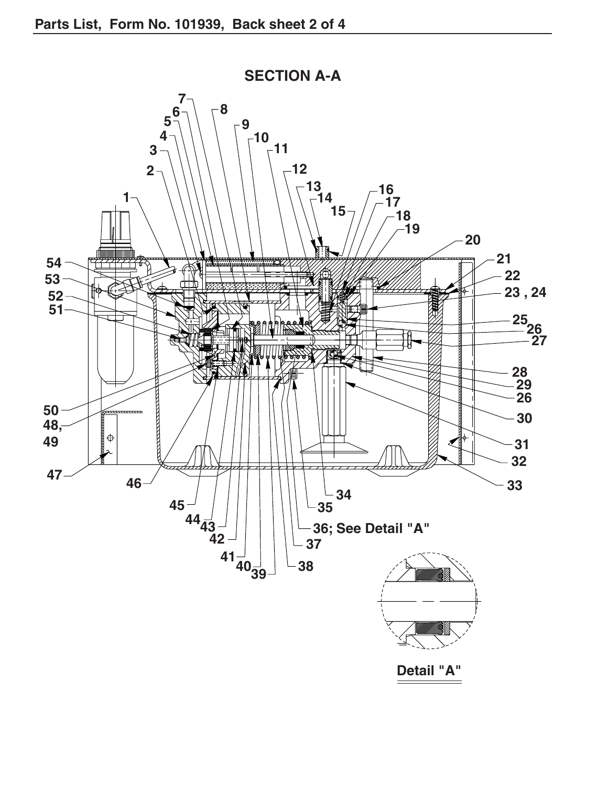

**SECTION A-A**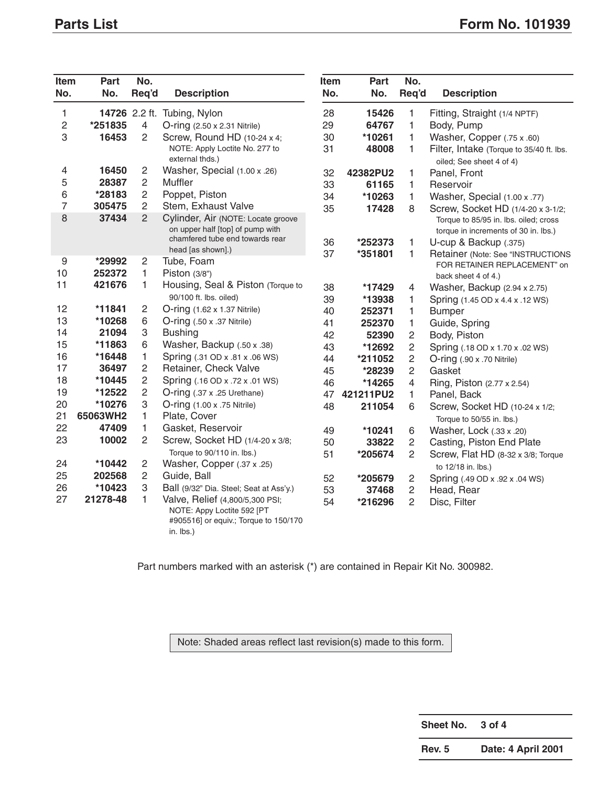| Item<br>No.      | Part<br>No. | No.<br>Req'd   | <b>Description</b>                                                                                                  | Item<br>No. | Part<br>No. | No.<br>Req'd   | <b>Description</b>                                                            |
|------------------|-------------|----------------|---------------------------------------------------------------------------------------------------------------------|-------------|-------------|----------------|-------------------------------------------------------------------------------|
| 1                |             |                | 14726 2.2 ft. Tubing, Nylon                                                                                         | 28          | 15426       | 1              | Fitting, Straight (1/4 NPTF)                                                  |
| $\overline{c}$   | *251835     | $\overline{4}$ | $O$ -ring $(2.50 \times 2.31 \text{ Nitrile})$                                                                      | 29          | 64767       | 1              | Body, Pump                                                                    |
| 3                | 16453       | $\overline{c}$ | Screw, Round HD (10-24 x 4;                                                                                         | 30          | *10261      | 1              | Washer, Copper (.75 x .60)                                                    |
|                  |             |                | NOTE: Apply Loctite No. 277 to<br>external thds.)                                                                   | 31          | 48008       | 1              | Filter, Intake (Torque to 35/40 ft. lbs.<br>oiled; See sheet 4 of 4)          |
| 4                | 16450       | $\mathbf{2}$   | Washer, Special (1.00 x .26)                                                                                        | 32          | 42382PU2    | 1              | Panel, Front                                                                  |
| 5                | 28387       | $\overline{2}$ | Muffler                                                                                                             | 33          | 61165       | 1              | Reservoir                                                                     |
| 6                | *28183      | $\overline{2}$ | Poppet, Piston                                                                                                      | 34          | *10263      | 1              | Washer, Special (1.00 x .77)                                                  |
| $\overline{7}$   | 305475      | $\overline{2}$ | Stem, Exhaust Valve                                                                                                 | 35          | 17428       | 8              | Screw, Socket HD (1/4-20 x 3-1/2;                                             |
| 8                | 37434       | $\overline{2}$ | Cylinder, Air (NOTE: Locate groove<br>on upper half [top] of pump with                                              |             |             |                | Torque to 85/95 in. lbs. oiled; cross<br>torque in increments of 30 in. lbs.) |
|                  |             |                | chamfered tube end towards rear                                                                                     | 36          | *252373     | 1              | U-cup & Backup (.375)                                                         |
| $\boldsymbol{9}$ | *29992      | $\mathbf{2}$   | head [as shown].)<br>Tube, Foam                                                                                     | 37          | *351801     | 1              | Retainer (Note: See "INSTRUCTIONS<br>FOR RETAINER REPLACEMENT" on             |
| 10               | 252372      | 1              | Piston (3/8")                                                                                                       |             |             |                | back sheet 4 of 4.)                                                           |
| 11               | 421676      | 1              | Housing, Seal & Piston (Torque to                                                                                   | 38          | *17429      | 4              | Washer, Backup (2.94 x 2.75)                                                  |
|                  |             |                | 90/100 ft. lbs. oiled)                                                                                              | 39          | *13938      | 1              | Spring (1.45 OD x 4.4 x .12 WS)                                               |
| 12               | *11841      | 2              | O-ring (1.62 x 1.37 Nitrile)                                                                                        | 40          | 252371      | 1              | <b>Bumper</b>                                                                 |
| 13               | *10268      | 6              | $O\text{-ring}$ (.50 x .37 Nitrile)                                                                                 | 41          | 252370      | 1              | Guide, Spring                                                                 |
| 14               | 21094       | 3              | <b>Bushing</b>                                                                                                      | 42          | 52390       | $\overline{c}$ | Body, Piston                                                                  |
| 15               | *11863      | 6              | Washer, Backup (.50 x .38)                                                                                          | 43          | *12692      | $\overline{c}$ | Spring (.18 OD x 1.70 x .02 WS)                                               |
| 16               | *16448      | 1              | Spring (.31 OD x .81 x .06 WS)                                                                                      | 44          | *211052     | $\overline{c}$ | O-ring (.90 x .70 Nitrile)                                                    |
| 17               | 36497       | $\overline{2}$ | Retainer, Check Valve                                                                                               | 45          | *28239      | $\overline{2}$ | Gasket                                                                        |
| 18               | *10445      | $\overline{c}$ | Spring (.16 OD x .72 x .01 WS)                                                                                      | 46          | *14265      | 4              | Ring, Piston (2.77 x 2.54)                                                    |
| 19               | *12522      | 2              | O-ring (.37 x .25 Urethane)                                                                                         | 47          | 421211PU2   | 1              | Panel, Back                                                                   |
| 20               | *10276      | 3              | O-ring (1.00 x .75 Nitrile)                                                                                         | 48          | 211054      | 6              | Screw, Socket HD (10-24 x 1/2;                                                |
| 21               | 65063WH2    | 1              | Plate, Cover                                                                                                        |             |             |                | Torque to 50/55 in. lbs.)                                                     |
| 22               | 47409       | 1              | Gasket, Reservoir                                                                                                   | 49          | *10241      | 6              | Washer, Lock (.33 x .20)                                                      |
| 23               | 10002       | $\overline{2}$ | Screw, Socket HD (1/4-20 x 3/8;                                                                                     | 50          | 33822       | $\overline{2}$ | Casting, Piston End Plate                                                     |
|                  |             |                | Torque to 90/110 in. lbs.)                                                                                          | 51          | *205674     | $\overline{c}$ | Screw, Flat HD (8-32 x 3/8; Torque                                            |
| 24               | *10442      | 2              | Washer, Copper (.37 x .25)                                                                                          |             |             |                | to 12/18 in. lbs.)                                                            |
| 25               | 202568      | $\overline{c}$ | Guide, Ball                                                                                                         | 52          | *205679     | $\overline{c}$ | Spring (.49 OD x .92 x .04 WS)                                                |
| 26               | *10423      | 3              | Ball (9/32" Dia. Steel; Seat at Ass'y.)                                                                             | 53          | 37468       | $\overline{2}$ | Head, Rear                                                                    |
| 27               | 21278-48    | 1              | Valve, Relief (4,800/5,300 PSI;<br>NOTE: Appy Loctite 592 [PT<br>#905516] or equiv.; Torque to 150/170<br>in. lbs.) | 54          | *216296     | $\overline{2}$ | Disc, Filter                                                                  |

Part numbers marked with an asterisk (\*) are contained in Repair Kit No. 300982.

Note: Shaded areas reflect last revision(s) made to this form.

**Sheet No. 3 of 4**

**Rev. 5 Date: 4 April 2001**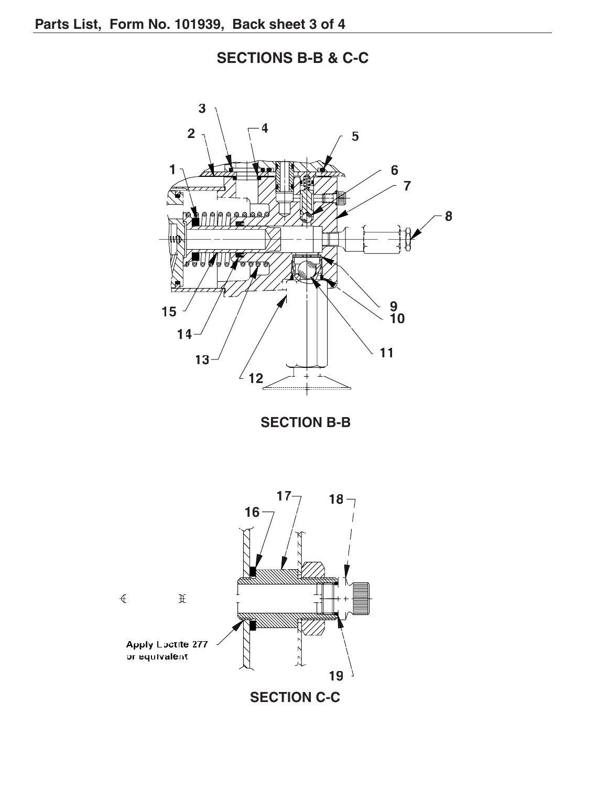**SECTIONS B-B & C-C**

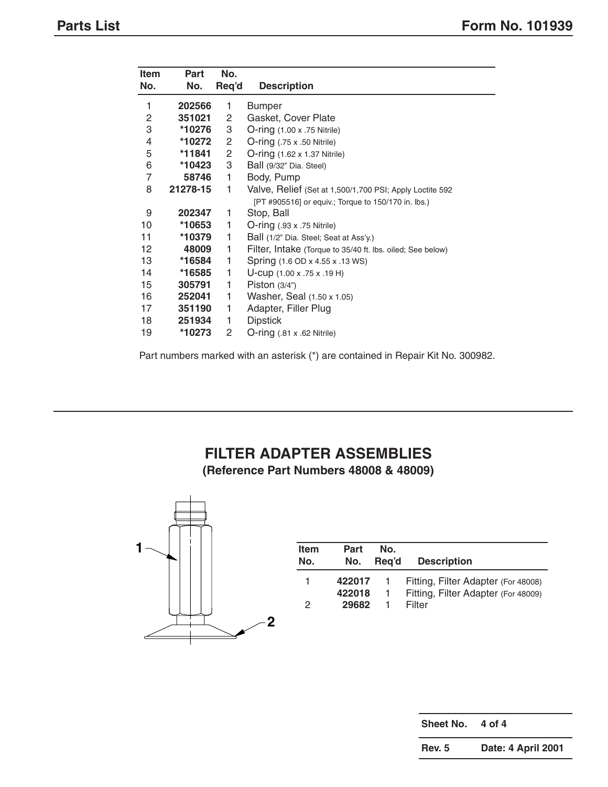| <b>Item</b>              | Part     | No.   |                                                            |
|--------------------------|----------|-------|------------------------------------------------------------|
| No.                      | No.      | Req'd | <b>Description</b>                                         |
| 1                        | 202566   | 1     | <b>Bumper</b>                                              |
| $\overline{c}$           | 351021   | 2     | Gasket, Cover Plate                                        |
| 3                        | *10276   | 3     | $O\text{-ring}$ (1.00 x .75 Nitrile)                       |
| $\overline{\mathcal{L}}$ | *10272   | 2     | $O\text{-ring}$ (.75 x .50 Nitrile)                        |
| 5                        | *11841   | 2     | <b>O-ring (1.62 x 1.37 Nitrile)</b>                        |
| 6                        | *10423   | 3     | Ball (9/32" Dia. Steel)                                    |
| 7                        | 58746    | 1     | Body, Pump                                                 |
| 8                        | 21278-15 | 1     | Valve, Relief (Set at 1,500/1,700 PSI; Apply Loctite 592   |
|                          |          |       | [PT #905516] or equiv.; Torque to 150/170 in. lbs.)        |
| 9                        | 202347   | 1     | Stop, Ball                                                 |
| 10                       | *10653   | 1     | $O\text{-ring}$ (.93 x .75 Nitrile)                        |
| 11                       | *10379   | 1     | Ball (1/2" Dia. Steel; Seat at Ass'y.)                     |
| 12                       | 48009    | 1     | Filter, Intake (Torque to 35/40 ft. lbs. oiled; See below) |
| 13                       | *16584   | 1     | Spring (1.6 OD x 4.55 x .13 WS)                            |
| 14                       | *16585   | 1     | U-cup (1.00 x .75 x .19 H)                                 |
| 15                       | 305791   | 1     | Piston $(3/4)$                                             |
| 16                       | 252041   | 1     | Washer, Seal (1.50 x 1.05)                                 |
| 17                       | 351190   | 1     | Adapter, Filler Plug                                       |
| 18                       | 251934   | 1     | <b>Dipstick</b>                                            |
| 19                       | *10273   | 2     | $O\text{-ring}$ (.81 x .62 Nitrile)                        |

Part numbers marked with an asterisk (\*) are contained in Repair Kit No. 300982.

## **FILTER ADAPTER ASSEMBLIES (Reference Part Numbers 48008 & 48009)**



| <b>Item</b> | Part   | No.            | <b>Description</b>                  |
|-------------|--------|----------------|-------------------------------------|
| No.         | No.    | Reg'd          |                                     |
|             | 422017 | $\overline{1}$ | Fitting, Filter Adapter (For 48008) |
|             | 422018 | $\overline{1}$ | Fitting, Filter Adapter (For 48009) |
| 2           | 29682  | 1.             | Filter                              |

| Sheet No.     | 4 of 4             |
|---------------|--------------------|
| <b>Rev. 5</b> | Date: 4 April 2001 |